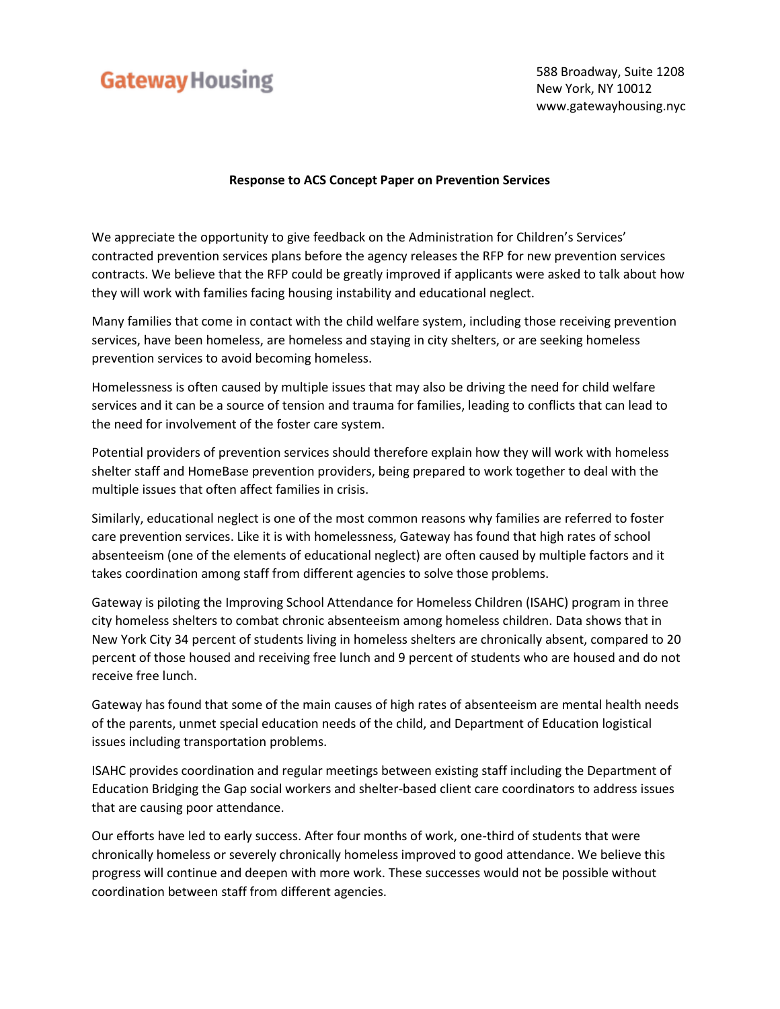## **Gateway Housing**

 588 Broadway, Suite 1208 New York, NY 10012 www.gatewayhousing.nyc

## **Response to ACS Concept Paper on Prevention Services**

We appreciate the opportunity to give feedback on the Administration for Children's Services' contracted prevention services plans before the agency releases the RFP for new prevention services contracts. We believe that the RFP could be greatly improved if applicants were asked to talk about how they will work with families facing housing instability and educational neglect.

Many families that come in contact with the child welfare system, including those receiving prevention services, have been homeless, are homeless and staying in city shelters, or are seeking homeless prevention services to avoid becoming homeless.

Homelessness is often caused by multiple issues that may also be driving the need for child welfare services and it can be a source of tension and trauma for families, leading to conflicts that can lead to the need for involvement of the foster care system.

Potential providers of prevention services should therefore explain how they will work with homeless shelter staff and HomeBase prevention providers, being prepared to work together to deal with the multiple issues that often affect families in crisis.

Similarly, educational neglect is one of the most common reasons why families are referred to foster care prevention services. Like it is with homelessness, Gateway has found that high rates of school absenteeism (one of the elements of educational neglect) are often caused by multiple factors and it takes coordination among staff from different agencies to solve those problems.

Gateway is piloting the Improving School Attendance for Homeless Children (ISAHC) program in three city homeless shelters to combat chronic absenteeism among homeless children. Data shows that in New York City 34 percent of students living in homeless shelters are chronically absent, compared to 20 percent of those housed and receiving free lunch and 9 percent of students who are housed and do not receive free lunch.

Gateway has found that some of the main causes of high rates of absenteeism are mental health needs of the parents, unmet special education needs of the child, and Department of Education logistical issues including transportation problems.

ISAHC provides coordination and regular meetings between existing staff including the Department of Education Bridging the Gap social workers and shelter-based client care coordinators to address issues that are causing poor attendance.

Our efforts have led to early success. After four months of work, one-third of students that were chronically homeless or severely chronically homeless improved to good attendance. We believe this progress will continue and deepen with more work. These successes would not be possible without coordination between staff from different agencies.